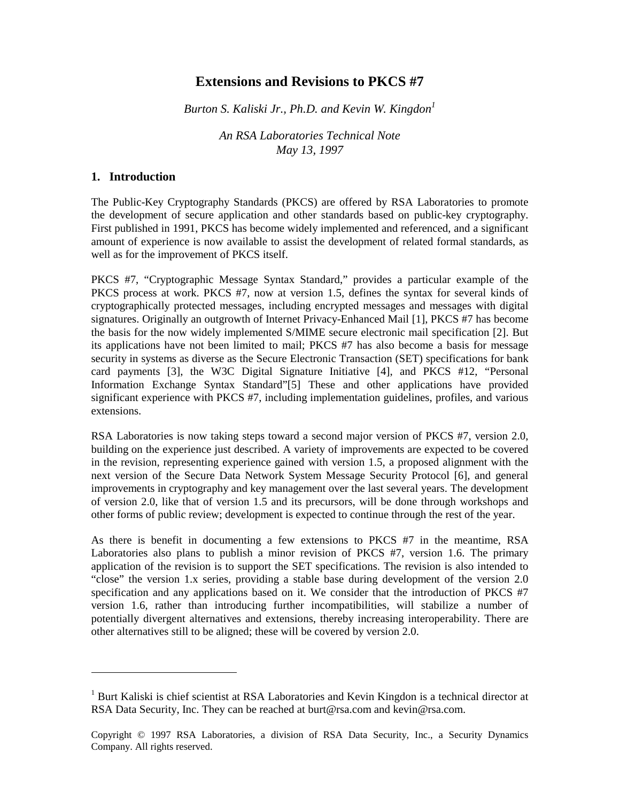# **Extensions and Revisions to PKCS #7**

*Burton S. Kaliski Jr., Ph.D. and Kevin W. Kingdon<sup>1</sup>*

*An RSA Laboratories Technical Note May 13, 1997*

#### **1. Introduction**

l

The Public-Key Cryptography Standards (PKCS) are offered by RSA Laboratories to promote the development of secure application and other standards based on public-key cryptography. First published in 1991, PKCS has become widely implemented and referenced, and a significant amount of experience is now available to assist the development of related formal standards, as well as for the improvement of PKCS itself.

PKCS #7, "Cryptographic Message Syntax Standard," provides a particular example of the PKCS process at work. PKCS #7, now at version 1.5, defines the syntax for several kinds of cryptographically protected messages, including encrypted messages and messages with digital signatures. Originally an outgrowth of Internet Privacy-Enhanced Mail [1], PKCS #7 has become the basis for the now widely implemented S/MIME secure electronic mail specification [2]. But its applications have not been limited to mail; PKCS #7 has also become a basis for message security in systems as diverse as the Secure Electronic Transaction (SET) specifications for bank card payments [3], the W3C Digital Signature Initiative [4], and PKCS #12, "Personal Information Exchange Syntax Standard"[5] These and other applications have provided significant experience with PKCS #7, including implementation guidelines, profiles, and various extensions.

RSA Laboratories is now taking steps toward a second major version of PKCS #7, version 2.0, building on the experience just described. A variety of improvements are expected to be covered in the revision, representing experience gained with version 1.5, a proposed alignment with the next version of the Secure Data Network System Message Security Protocol [6], and general improvements in cryptography and key management over the last several years. The development of version 2.0, like that of version 1.5 and its precursors, will be done through workshops and other forms of public review; development is expected to continue through the rest of the year.

As there is benefit in documenting a few extensions to PKCS #7 in the meantime, RSA Laboratories also plans to publish a minor revision of PKCS #7, version 1.6. The primary application of the revision is to support the SET specifications. The revision is also intended to "close" the version 1.x series, providing a stable base during development of the version 2.0 specification and any applications based on it. We consider that the introduction of PKCS #7 version 1.6, rather than introducing further incompatibilities, will stabilize a number of potentially divergent alternatives and extensions, thereby increasing interoperability. There are other alternatives still to be aligned; these will be covered by version 2.0.

<sup>&</sup>lt;sup>1</sup> Burt Kaliski is chief scientist at RSA Laboratories and Kevin Kingdon is a technical director at RSA Data Security, Inc. They can be reached at burt@rsa.com and kevin@rsa.com.

Copyright © 1997 RSA Laboratories, a division of RSA Data Security, Inc., a Security Dynamics Company. All rights reserved.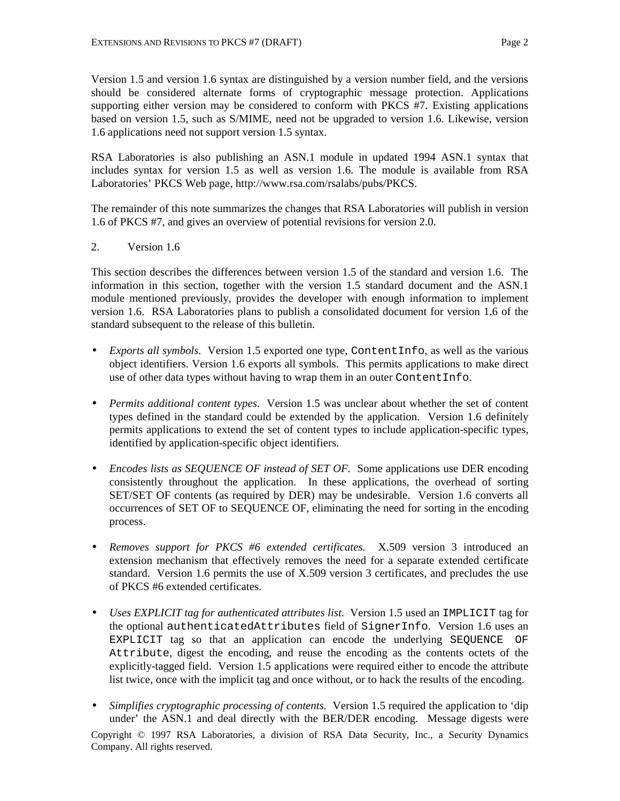Version 1.5 and version 1.6 syntax are distinguished by a version number field, and the versions should be considered alternate forms of cryptographic message protection. Applications supporting either version may be considered to conform with PKCS #7. Existing applications based on version 1.5, such as S/MIME, need not be upgraded to version 1.6. Likewise, version 1.6 applications need not support version 1.5 syntax.

RSA Laboratories is also publishing an ASN.1 module in updated 1994 ASN.1 syntax that includes syntax for version 1.5 as well as version 1.6. The module is available from RSA Laboratories' PKCS Web page, http://www.rsa.com/rsalabs/pubs/PKCS.

The remainder of this note summarizes the changes that RSA Laboratories will publish in version 1.6 of PKCS #7, and gives an overview of potential revisions for version 2.0.

2. Version 1.6

This section describes the differences between version 1.5 of the standard and version 1.6. The information in this section, together with the version 1.5 standard document and the ASN.1 module mentioned previously, provides the developer with enough information to implement version 1.6. RSA Laboratories plans to publish a consolidated document for version 1.6 of the standard subsequent to the release of this bulletin.

- *Exports all symbols.* Version 1.5 exported one type, ContentInfo, as well as the various object identifiers. Version 1.6 exports all symbols. This permits applications to make direct use of other data types without having to wrap them in an outer ContentInfo.
- *Permits additional content types.* Version 1.5 was unclear about whether the set of content types defined in the standard could be extended by the application. Version 1.6 definitely permits applications to extend the set of content types to include application-specific types, identified by application-specific object identifiers.
- *Encodes lists as SEQUENCE OF instead of SET OF.* Some applications use DER encoding consistently throughout the application. In these applications, the overhead of sorting SET/SET OF contents (as required by DER) may be undesirable. Version 1.6 converts all occurrences of SET OF to SEQUENCE OF, eliminating the need for sorting in the encoding process.
- *Removes support for PKCS #6 extended certificates.* X.509 version 3 introduced an extension mechanism that effectively removes the need for a separate extended certificate standard. Version 1.6 permits the use of X.509 version 3 certificates, and precludes the use of PKCS #6 extended certificates.
- *Uses EXPLICIT tag for authenticated attributes list.* Version 1.5 used an IMPLICIT tag for the optional authenticatedAttributes field of SignerInfo. Version 1.6 uses an EXPLICIT tag so that an application can encode the underlying SEQUENCE OF Attribute, digest the encoding, and reuse the encoding as the contents octets of the explicitly-tagged field. Version 1.5 applications were required either to encode the attribute list twice, once with the implicit tag and once without, or to hack the results of the encoding.
- *Simplifies cryptographic processing of contents.* Version 1.5 required the application to 'dip under' the ASN.1 and deal directly with the BER/DER encoding. Message digests were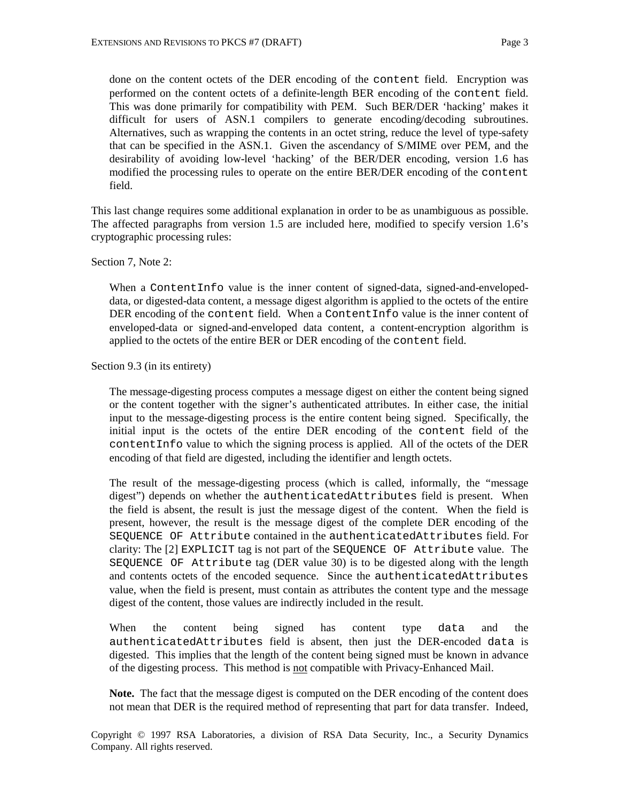done on the content octets of the DER encoding of the content field. Encryption was performed on the content octets of a definite-length BER encoding of the content field. This was done primarily for compatibility with PEM. Such BER/DER 'hacking' makes it difficult for users of ASN.1 compilers to generate encoding/decoding subroutines. Alternatives, such as wrapping the contents in an octet string, reduce the level of type-safety that can be specified in the ASN.1. Given the ascendancy of S/MIME over PEM, and the desirability of avoiding low-level 'hacking' of the BER/DER encoding, version 1.6 has modified the processing rules to operate on the entire BER/DER encoding of the content field.

This last change requires some additional explanation in order to be as unambiguous as possible. The affected paragraphs from version 1.5 are included here, modified to specify version 1.6's cryptographic processing rules:

Section 7, Note 2:

When a ContentInfo value is the inner content of signed-data, signed-and-envelopeddata, or digested-data content, a message digest algorithm is applied to the octets of the entire DER encoding of the content field. When a ContentInfo value is the inner content of enveloped-data or signed-and-enveloped data content, a content-encryption algorithm is applied to the octets of the entire BER or DER encoding of the content field.

Section 9.3 (in its entirety)

The message-digesting process computes a message digest on either the content being signed or the content together with the signer's authenticated attributes. In either case, the initial input to the message-digesting process is the entire content being signed. Specifically, the initial input is the octets of the entire DER encoding of the content field of the contentInfo value to which the signing process is applied. All of the octets of the DER encoding of that field are digested, including the identifier and length octets.

The result of the message-digesting process (which is called, informally, the "message digest") depends on whether the authenticatedAttributes field is present. When the field is absent, the result is just the message digest of the content. When the field is present, however, the result is the message digest of the complete DER encoding of the SEQUENCE OF Attribute contained in the authenticatedAttributes field. For clarity: The [2] EXPLICIT tag is not part of the SEQUENCE OF Attribute value. The SEQUENCE OF Attribute tag (DER value 30) is to be digested along with the length and contents octets of the encoded sequence. Since the authenticatedAttributes value, when the field is present, must contain as attributes the content type and the message digest of the content, those values are indirectly included in the result.

When the content being signed has content type data and the authenticatedAttributes field is absent, then just the DER-encoded data is digested. This implies that the length of the content being signed must be known in advance of the digesting process. This method is not compatible with Privacy-Enhanced Mail.

**Note.** The fact that the message digest is computed on the DER encoding of the content does not mean that DER is the required method of representing that part for data transfer. Indeed,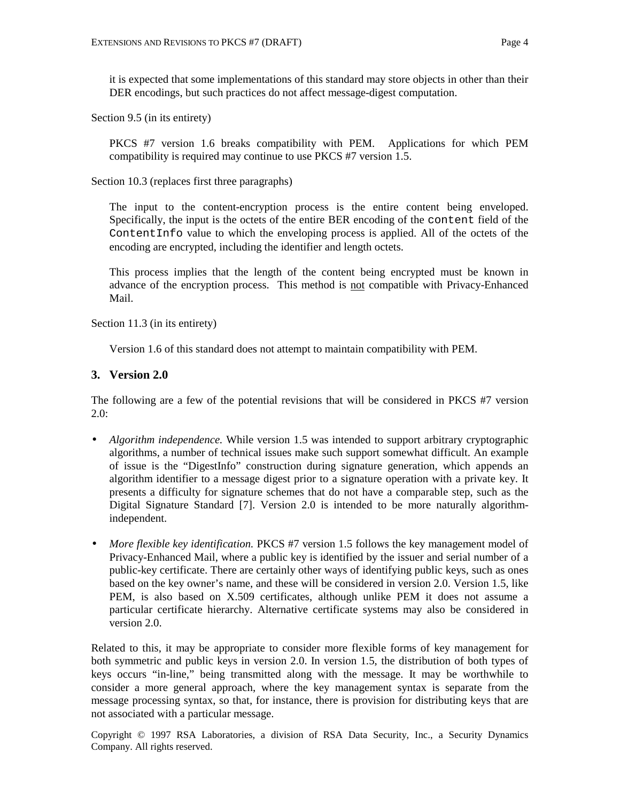it is expected that some implementations of this standard may store objects in other than their DER encodings, but such practices do not affect message-digest computation.

Section 9.5 (in its entirety)

PKCS #7 version 1.6 breaks compatibility with PEM. Applications for which PEM compatibility is required may continue to use PKCS #7 version 1.5.

Section 10.3 (replaces first three paragraphs)

The input to the content-encryption process is the entire content being enveloped. Specifically, the input is the octets of the entire BER encoding of the content field of the ContentInfo value to which the enveloping process is applied. All of the octets of the encoding are encrypted, including the identifier and length octets.

This process implies that the length of the content being encrypted must be known in advance of the encryption process. This method is not compatible with Privacy-Enhanced Mail.

Section 11.3 (in its entirety)

Version 1.6 of this standard does not attempt to maintain compatibility with PEM.

### **3. Version 2.0**

The following are a few of the potential revisions that will be considered in PKCS #7 version 2.0:

- *Algorithm independence*. While version 1.5 was intended to support arbitrary cryptographic algorithms, a number of technical issues make such support somewhat difficult. An example of issue is the "DigestInfo" construction during signature generation, which appends an algorithm identifier to a message digest prior to a signature operation with a private key. It presents a difficulty for signature schemes that do not have a comparable step, such as the Digital Signature Standard [7]. Version 2.0 is intended to be more naturally algorithmindependent.
- *More flexible key identification.* PKCS #7 version 1.5 follows the key management model of Privacy-Enhanced Mail, where a public key is identified by the issuer and serial number of a public-key certificate. There are certainly other ways of identifying public keys, such as ones based on the key owner's name, and these will be considered in version 2.0. Version 1.5, like PEM, is also based on X.509 certificates, although unlike PEM it does not assume a particular certificate hierarchy. Alternative certificate systems may also be considered in version 2.0.

Related to this, it may be appropriate to consider more flexible forms of key management for both symmetric and public keys in version 2.0. In version 1.5, the distribution of both types of keys occurs "in-line," being transmitted along with the message. It may be worthwhile to consider a more general approach, where the key management syntax is separate from the message processing syntax, so that, for instance, there is provision for distributing keys that are not associated with a particular message.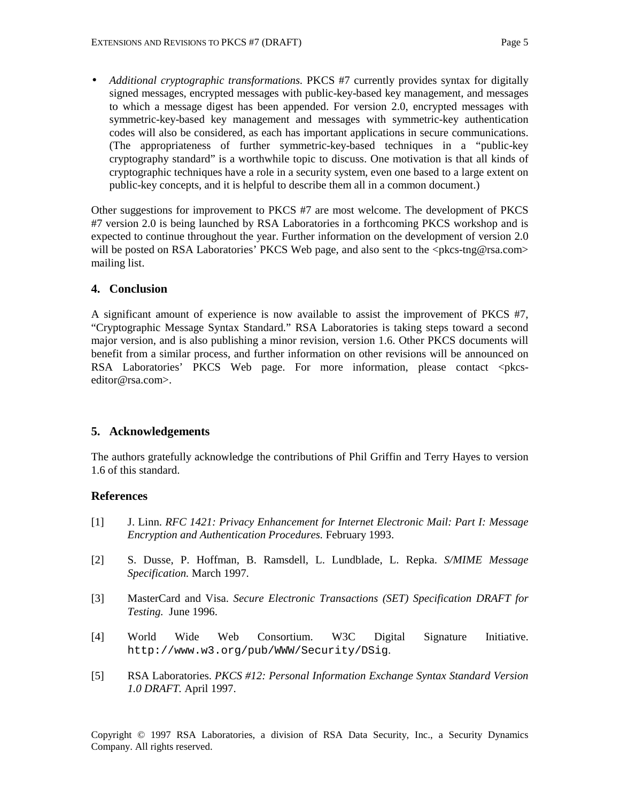• *Additional cryptographic transformations.* PKCS #7 currently provides syntax for digitally signed messages, encrypted messages with public-key-based key management, and messages to which a message digest has been appended. For version 2.0, encrypted messages with symmetric-key-based key management and messages with symmetric-key authentication codes will also be considered, as each has important applications in secure communications. (The appropriateness of further symmetric-key-based techniques in a "public-key cryptography standard" is a worthwhile topic to discuss. One motivation is that all kinds of cryptographic techniques have a role in a security system, even one based to a large extent on public-key concepts, and it is helpful to describe them all in a common document.)

Other suggestions for improvement to PKCS #7 are most welcome. The development of PKCS #7 version 2.0 is being launched by RSA Laboratories in a forthcoming PKCS workshop and is expected to continue throughout the year. Further information on the development of version 2.0 will be posted on RSA Laboratories' PKCS Web page, and also sent to the <pkcs-tng@rsa.com> mailing list.

## **4. Conclusion**

A significant amount of experience is now available to assist the improvement of PKCS #7, "Cryptographic Message Syntax Standard." RSA Laboratories is taking steps toward a second major version, and is also publishing a minor revision, version 1.6. Other PKCS documents will benefit from a similar process, and further information on other revisions will be announced on RSA Laboratories' PKCS Web page. For more information, please contact <pkcseditor@rsa.com>.

# **5. Acknowledgements**

The authors gratefully acknowledge the contributions of Phil Griffin and Terry Hayes to version 1.6 of this standard.

### **References**

- [1] J. Linn. *RFC 1421: Privacy Enhancement for Internet Electronic Mail: Part I: Message Encryption and Authentication Procedures.* February 1993.
- [2] S. Dusse, P. Hoffman, B. Ramsdell, L. Lundblade, L. Repka. *S/MIME Message Specification.* March 1997.
- [3] MasterCard and Visa. *Secure Electronic Transactions (SET) Specification DRAFT for Testing.* June 1996.
- [4] World Wide Web Consortium. W3C Digital Signature Initiative. http://www.w3.org/pub/WWW/Security/DSig.
- [5] RSA Laboratories. *PKCS #12: Personal Information Exchange Syntax Standard Version 1.0 DRAFT.* April 1997.